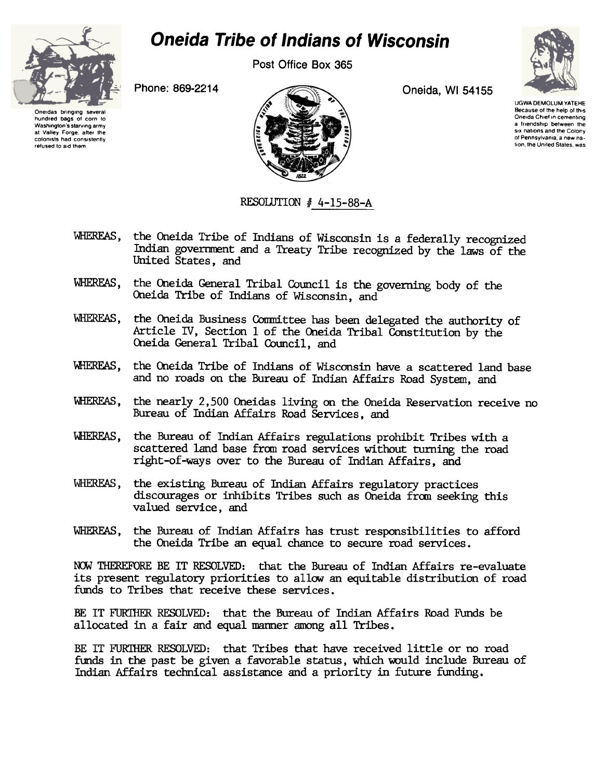

## Oneida Tribe of Indians of Wisconsin

Post Office Box 365



Oneidas bringing several hundred bags of corn to Washington's starving army at Valley Forge after the colonists had consistently refused to aid them.



UGWA DEMOLUM YATEHE Because of the help of this Oneida Chief in cementing a triendship between the six nations and the Colony of Pennsylvania, a new nation, the United States, was

## RESOLUTION  $#$  4-15-88-A

- WHEREAS, the Oneida Tribe of Indians of Wisconsin is a federally recognized Indian govennrent and a Treaty Tribe recognized by the laws of the United States, and
- WHEREAS, the Oneida General Tribal Council is the governing body of the Oneida Tribe of Indians of Wisconsin, and
- WHEREAS, the Oneida Business Conmittee has been delegated the authority of Article IV, Section 1 of the Oneida Tribal Constitution by the Oneida General Tribal Council, and
- WHEREAS, the Oneida Tribe of Indians of Wisconsin have a scattered land base and no roads on the Bureau of Indian Affairs Road System, and
- WHEREAS, the nearly 2,500 Oneidas living on the Oneida Reservation receive no Bureau of Indian Affairs Road Services, and
- VlIEREAS, the Bureau of Indian Affairs regulations prohibit Tribes with a scattered land base from road services without turning the road right-of-ways over to the Bureau of Indian Affairs, and
- WHERFAS, the existing Bureau of Indian Affairs regulatory practices discourages or inhibits Tribes such as Oneida from seeking this valued service, and
- WHEREAS, the Bureau of Indian Affairs has trust responsibilities to afford the Oneida Tribe an equal chance to secure road services.

NOW THEREFORE BE IT RESOLVED: that the Bureau of Indian Affairs re-evaluate its present regulatory priorities to allow an equitable distribution of road funds to Tribes that receive these services.

BE IT FURTHER RESOLVED: that the Bureau of Indian Affairs Road Funds be allocated in a fair and equal manner among all Tribes.

BE IT FURTHER RESOLVED: that Tribes that have received little or no road funds in the past be given a favorable status, which would include Bureau of Indian Affairs technical assistance and a priority in future funding.